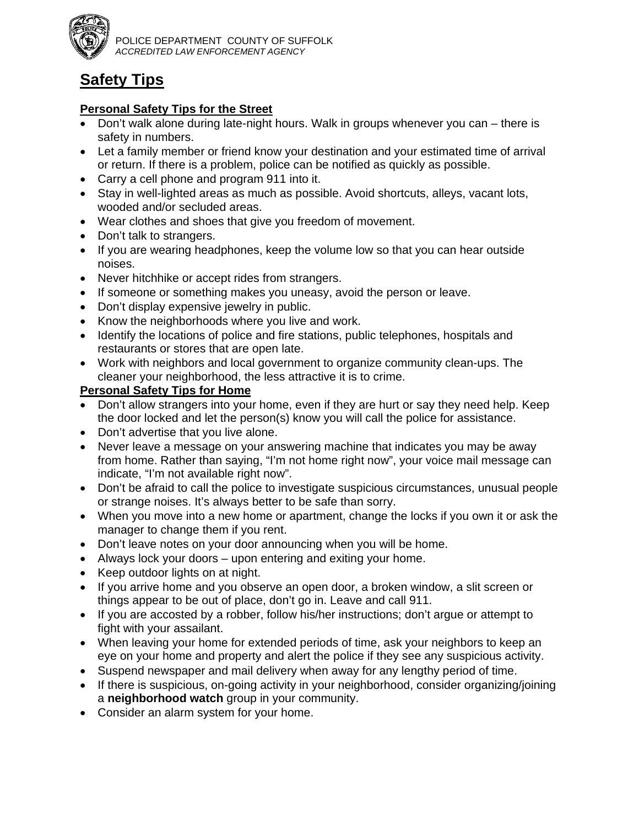

# **Safety Tips**

#### **Personal Safety Tips for the Street**

- Don't walk alone during late-night hours. Walk in groups whenever you can there is safety in numbers.
- Let a family member or friend know your destination and your estimated time of arrival or return. If there is a problem, police can be notified as quickly as possible.
- Carry a cell phone and program 911 into it.
- Stay in well-lighted areas as much as possible. Avoid shortcuts, alleys, vacant lots, wooded and/or secluded areas.
- Wear clothes and shoes that give you freedom of movement.
- Don't talk to strangers.
- If you are wearing headphones, keep the volume low so that you can hear outside noises.
- Never hitchhike or accept rides from strangers.
- If someone or something makes you uneasy, avoid the person or leave.
- Don't display expensive jewelry in public.
- Know the neighborhoods where you live and work.
- Identify the locations of police and fire stations, public telephones, hospitals and restaurants or stores that are open late.
- Work with neighbors and local government to organize community clean-ups. The cleaner your neighborhood, the less attractive it is to crime.

## **Personal Safety Tips for Home**

- Don't allow strangers into your home, even if they are hurt or say they need help. Keep the door locked and let the person(s) know you will call the police for assistance.
- Don't advertise that you live alone.
- Never leave a message on your answering machine that indicates you may be away from home. Rather than saying, "I'm not home right now", your voice mail message can indicate, "I'm not available right now".
- Don't be afraid to call the police to investigate suspicious circumstances, unusual people or strange noises. It's always better to be safe than sorry.
- When you move into a new home or apartment, change the locks if you own it or ask the manager to change them if you rent.
- Don't leave notes on your door announcing when you will be home.
- Always lock your doors upon entering and exiting your home.
- Keep outdoor lights on at night.
- If you arrive home and you observe an open door, a broken window, a slit screen or things appear to be out of place, don't go in. Leave and call 911.
- If you are accosted by a robber, follow his/her instructions; don't argue or attempt to fight with your assailant.
- When leaving your home for extended periods of time, ask your neighbors to keep an eye on your home and property and alert the police if they see any suspicious activity.
- Suspend newspaper and mail delivery when away for any lengthy period of time.
- If there is suspicious, on-going activity in your neighborhood, consider organizing/joining a **neighborhood watch** group in your community.
- Consider an alarm system for your home.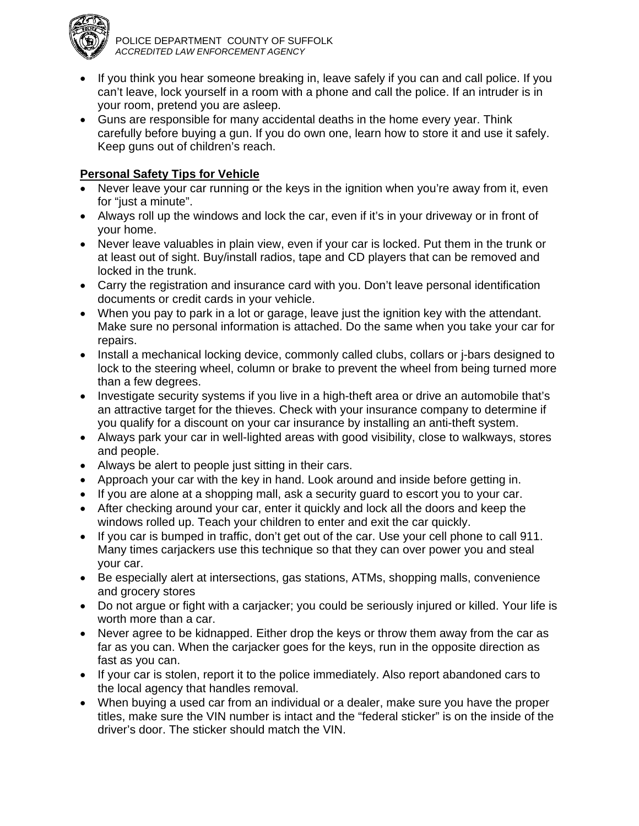

- If you think you hear someone breaking in, leave safely if you can and call police. If you can't leave, lock yourself in a room with a phone and call the police. If an intruder is in your room, pretend you are asleep.
- Guns are responsible for many accidental deaths in the home every year. Think carefully before buying a gun. If you do own one, learn how to store it and use it safely. Keep guns out of children's reach.

# **Personal Safety Tips for Vehicle**

- Never leave your car running or the keys in the ignition when you're away from it, even for "just a minute".
- Always roll up the windows and lock the car, even if it's in your driveway or in front of your home.
- Never leave valuables in plain view, even if your car is locked. Put them in the trunk or at least out of sight. Buy/install radios, tape and CD players that can be removed and locked in the trunk.
- Carry the registration and insurance card with you. Don't leave personal identification documents or credit cards in your vehicle.
- When you pay to park in a lot or garage, leave just the ignition key with the attendant. Make sure no personal information is attached. Do the same when you take your car for repairs.
- Install a mechanical locking device, commonly called clubs, collars or j-bars designed to lock to the steering wheel, column or brake to prevent the wheel from being turned more than a few degrees.
- Investigate security systems if you live in a high-theft area or drive an automobile that's an attractive target for the thieves. Check with your insurance company to determine if you qualify for a discount on your car insurance by installing an anti-theft system.
- Always park your car in well-lighted areas with good visibility, close to walkways, stores and people.
- Always be alert to people just sitting in their cars.
- Approach your car with the key in hand. Look around and inside before getting in.
- If you are alone at a shopping mall, ask a security guard to escort you to your car.
- After checking around your car, enter it quickly and lock all the doors and keep the windows rolled up. Teach your children to enter and exit the car quickly.
- If you car is bumped in traffic, don't get out of the car. Use your cell phone to call 911. Many times carjackers use this technique so that they can over power you and steal your car.
- Be especially alert at intersections, gas stations, ATMs, shopping malls, convenience and grocery stores
- Do not argue or fight with a carjacker; you could be seriously injured or killed. Your life is worth more than a car.
- Never agree to be kidnapped. Either drop the keys or throw them away from the car as far as you can. When the carjacker goes for the keys, run in the opposite direction as fast as you can.
- If your car is stolen, report it to the police immediately. Also report abandoned cars to the local agency that handles removal.
- When buying a used car from an individual or a dealer, make sure you have the proper titles, make sure the VIN number is intact and the "federal sticker" is on the inside of the driver's door. The sticker should match the VIN.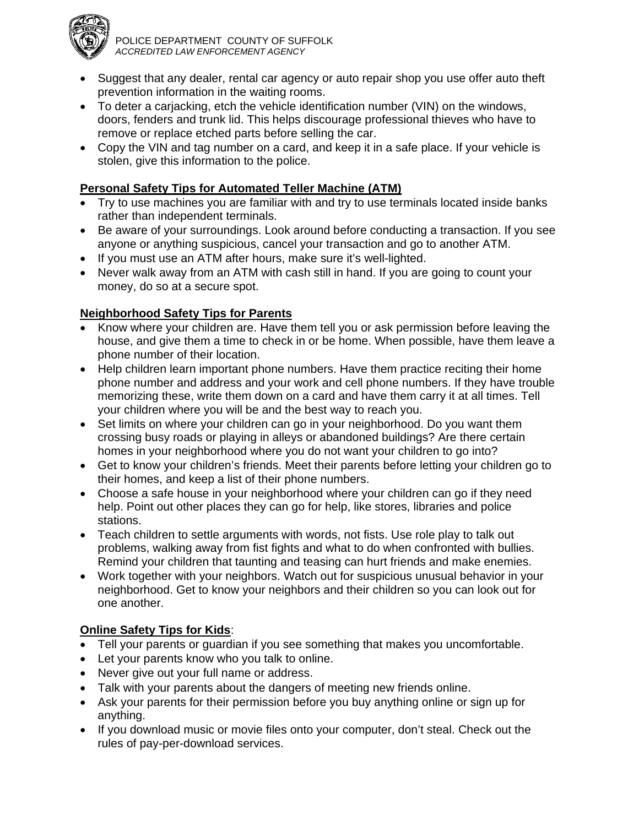

- Suggest that any dealer, rental car agency or auto repair shop you use offer auto theft prevention information in the waiting rooms.
- To deter a carjacking, etch the vehicle identification number (VIN) on the windows, doors, fenders and trunk lid. This helps discourage professional thieves who have to remove or replace etched parts before selling the car.
- Copy the VIN and tag number on a card, and keep it in a safe place. If your vehicle is stolen, give this information to the police.

## **Personal Safety Tips for Automated Teller Machine (ATM)**

- Try to use machines you are familiar with and try to use terminals located inside banks rather than independent terminals.
- Be aware of your surroundings. Look around before conducting a transaction. If you see anyone or anything suspicious, cancel your transaction and go to another ATM.
- If you must use an ATM after hours, make sure it's well-lighted.
- Never walk away from an ATM with cash still in hand. If you are going to count your money, do so at a secure spot.

## **Neighborhood Safety Tips for Parents**

- Know where your children are. Have them tell you or ask permission before leaving the house, and give them a time to check in or be home. When possible, have them leave a phone number of their location.
- Help children learn important phone numbers. Have them practice reciting their home phone number and address and your work and cell phone numbers. If they have trouble memorizing these, write them down on a card and have them carry it at all times. Tell your children where you will be and the best way to reach you.
- Set limits on where your children can go in your neighborhood. Do you want them crossing busy roads or playing in alleys or abandoned buildings? Are there certain homes in your neighborhood where you do not want your children to go into?
- Get to know your children's friends. Meet their parents before letting your children go to their homes, and keep a list of their phone numbers.
- Choose a safe house in your neighborhood where your children can go if they need help. Point out other places they can go for help, like stores, libraries and police stations.
- Teach children to settle arguments with words, not fists. Use role play to talk out problems, walking away from fist fights and what to do when confronted with bullies. Remind your children that taunting and teasing can hurt friends and make enemies.
- Work together with your neighbors. Watch out for suspicious unusual behavior in your neighborhood. Get to know your neighbors and their children so you can look out for one another.

#### **Online Safety Tips for Kids**:

- Tell your parents or guardian if you see something that makes you uncomfortable.
- Let your parents know who you talk to online.
- Never give out your full name or address.
- Talk with your parents about the dangers of meeting new friends online.
- Ask your parents for their permission before you buy anything online or sign up for anything.
- If you download music or movie files onto your computer, don't steal. Check out the rules of pay-per-download services.